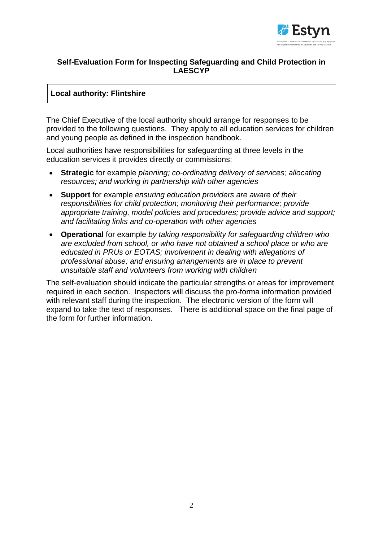

### **Self-Evaluation Form for Inspecting Safeguarding and Child Protection in LAESCYP**

### **Local authority: Flintshire**

The Chief Executive of the local authority should arrange for responses to be provided to the following questions. They apply to all education services for children and young people as defined in the inspection handbook.

Local authorities have responsibilities for safeguarding at three levels in the education services it provides directly or commissions:

- **Strategic** for example *planning; co-ordinating delivery of services; allocating resources; and working in partnership with other agencies*
- **Support** for example *ensuring education providers are aware of their responsibilities for child protection; monitoring their performance; provide appropriate training, model policies and procedures; provide advice and support; and facilitating links and co-operation with other agencies*
- **Operational** for example *by taking responsibility for safeguarding children who are excluded from school, or who have not obtained a school place or who are educated in PRUs or EOTAS; involvement in dealing with allegations of professional abuse; and ensuring arrangements are in place to prevent unsuitable staff and volunteers from working with children*

The self-evaluation should indicate the particular strengths or areas for improvement required in each section. Inspectors will discuss the pro-forma information provided with relevant staff during the inspection. The electronic version of the form will expand to take the text of responses. There is additional space on the final page of the form for further information.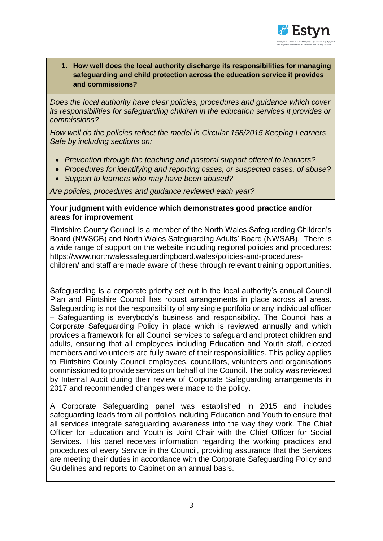

**1. How well does the local authority discharge its responsibilities for managing safeguarding and child protection across the education service it provides and commissions?**

*Does the local authority have clear policies, procedures and guidance which cover its responsibilities for safeguarding children in the education services it provides or commissions?* 

*How well do the policies reflect the model in Circular 158/2015 Keeping Learners Safe by including sections on:*

- *Prevention through the teaching and pastoral support offered to learners?*
- *Procedures for identifying and reporting cases, or suspected cases, of abuse?*
- *Support to learners who may have been abused?*

*Are policies, procedures and guidance reviewed each year?*

### **Your judgment with evidence which demonstrates good practice and/or areas for improvement**

Flintshire County Council is a member of the North Wales Safeguarding Children's Board (NWSCB) and North Wales Safeguarding Adults' Board (NWSAB). There is a wide range of support on the website including regional policies and procedures: [https://www.northwalessafeguardingboard.wales/policies-and-procedures](https://www.northwalessafeguardingboard.wales/policies-and-procedures-children/)[children/](https://www.northwalessafeguardingboard.wales/policies-and-procedures-children/) and staff are made aware of these through relevant training opportunities.

Safeguarding is a corporate priority set out in the local authority's annual Council Plan and Flintshire Council has robust arrangements in place across all areas. Safeguarding is not the responsibility of any single portfolio or any individual officer – Safeguarding is everybody's business and responsibility. The Council has a Corporate Safeguarding Policy in place which is reviewed annually and which provides a framework for all Council services to safeguard and protect children and adults, ensuring that all employees including Education and Youth staff, elected members and volunteers are fully aware of their responsibilities. This policy applies to Flintshire County Council employees, councillors, volunteers and organisations commissioned to provide services on behalf of the Council. The policy was reviewed by Internal Audit during their review of Corporate Safeguarding arrangements in 2017 and recommended changes were made to the policy.

A Corporate Safeguarding panel was established in 2015 and includes safeguarding leads from all portfolios including Education and Youth to ensure that all services integrate safeguarding awareness into the way they work. The Chief Officer for Education and Youth is Joint Chair with the Chief Officer for Social Services. This panel receives information regarding the working practices and procedures of every Service in the Council, providing assurance that the Services are meeting their duties in accordance with the Corporate Safeguarding Policy and Guidelines and reports to Cabinet on an annual basis.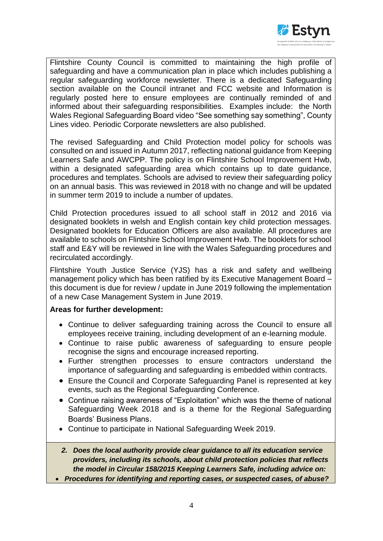

Flintshire County Council is committed to maintaining the high profile of safeguarding and have a communication plan in place which includes publishing a regular safeguarding workforce newsletter. There is a dedicated Safeguarding section available on the Council intranet and FCC website and Information is regularly posted here to ensure employees are continually reminded of and informed about their safeguarding responsibilities. Examples include: the North Wales Regional Safeguarding Board video "See something say something", County Lines video. Periodic Corporate newsletters are also published.

The revised Safeguarding and Child Protection model policy for schools was consulted on and issued in Autumn 2017, reflecting national guidance from Keeping Learners Safe and AWCPP. The policy is on Flintshire School Improvement Hwb, within a designated safeguarding area which contains up to date guidance, procedures and templates. Schools are advised to review their safeguarding policy on an annual basis. This was reviewed in 2018 with no change and will be updated in summer term 2019 to include a number of updates.

Child Protection procedures issued to all school staff in 2012 and 2016 via designated booklets in welsh and English contain key child protection messages. Designated booklets for Education Officers are also available. All procedures are available to schools on Flintshire School Improvement Hwb. The booklets for school staff and E&Y will be reviewed in line with the Wales Safeguarding procedures and recirculated accordingly.

Flintshire Youth Justice Service (YJS) has a risk and safety and wellbeing management policy which has been ratified by its Executive Management Board – this document is due for review / update in June 2019 following the implementation of a new Case Management System in June 2019.

#### **Areas for further development:**

- Continue to deliver safeguarding training across the Council to ensure all employees receive training, including development of an e-learning module.
- Continue to raise public awareness of safeguarding to ensure people recognise the signs and encourage increased reporting.
- Further strengthen processes to ensure contractors understand the importance of safeguarding and safeguarding is embedded within contracts.
- Ensure the Council and Corporate Safeguarding Panel is represented at key events, such as the Regional Safeguarding Conference.
- Continue raising awareness of "Exploitation" which was the theme of national Safeguarding Week 2018 and is a theme for the Regional Safeguarding Boards' Business Plans.
- Continue to participate in National Safeguarding Week 2019.
- *2. Does the local authority provide clear guidance to all its education service providers, including its schools, about child protection policies that reflects the model in Circular 158/2015 Keeping Learners Safe, including advice on:*
- *Procedures for identifying and reporting cases, or suspected cases, of abuse?*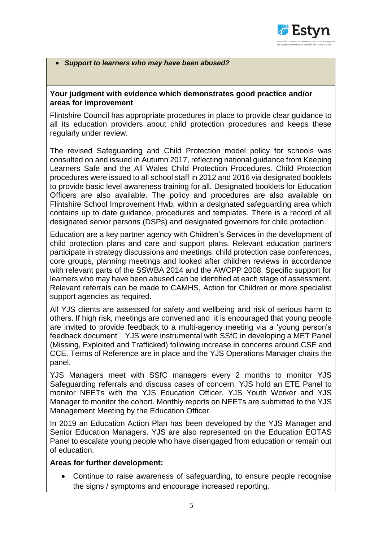

#### *Support to learners who may have been abused?*

### **Your judgment with evidence which demonstrates good practice and/or areas for improvement**

Flintshire Council has appropriate procedures in place to provide clear guidance to all its education providers about child protection procedures and keeps these regularly under review.

The revised Safeguarding and Child Protection model policy for schools was consulted on and issued in Autumn 2017, reflecting national guidance from Keeping Learners Safe and the All Wales Child Protection Procedures. Child Protection procedures were issued to all school staff in 2012 and 2016 via designated booklets to provide basic level awareness training for all. Designated booklets for Education Officers are also available. The policy and procedures are also available on Flintshire School Improvement Hwb, within a designated safeguarding area which contains up to date guidance, procedures and templates. There is a record of all designated senior persons (DSPs) and designated governors for child protection.

Education are a key partner agency with Children's Services in the development of child protection plans and care and support plans. Relevant education partners participate in strategy discussions and meetings, child protection case conferences, core groups, planning meetings and looked after children reviews in accordance with relevant parts of the SSWBA 2014 and the AWCPP 2008. Specific support for learners who may have been abused can be identified at each stage of assessment. Relevant referrals can be made to CAMHS, Action for Children or more specialist support agencies as required.

All YJS clients are assessed for safety and wellbeing and risk of serious harm to others. If high risk, meetings are convened and it is encouraged that young people are invited to provide feedback to a multi-agency meeting via a 'young person's feedback document'. YJS were instrumental with SSfC in developing a MET Panel (Missing, Exploited and Trafficked) following increase in concerns around CSE and CCE. Terms of Reference are in place and the YJS Operations Manager chairs the panel.

YJS Managers meet with SSfC managers every 2 months to monitor YJS Safeguarding referrals and discuss cases of concern. YJS hold an ETE Panel to monitor NEETs with the YJS Education Officer, YJS Youth Worker and YJS Manager to monitor the cohort. Monthly reports on NEETs are submitted to the YJS Management Meeting by the Education Officer.

In 2019 an Education Action Plan has been developed by the YJS Manager and Senior Education Managers. YJS are also represented on the Education EOTAS Panel to escalate young people who have disengaged from education or remain out of education.

#### **Areas for further development:**

 Continue to raise awareness of safeguarding, to ensure people recognise the signs / symptoms and encourage increased reporting.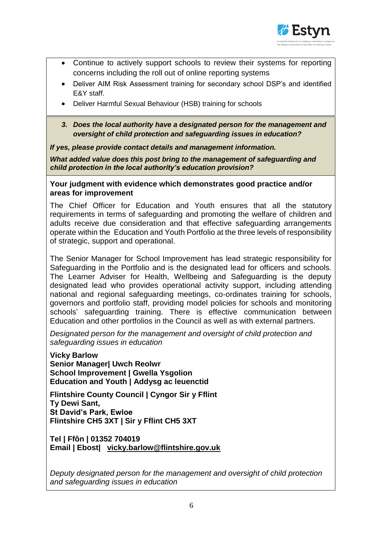

- Continue to actively support schools to review their systems for reporting concerns including the roll out of online reporting systems
- Deliver AIM Risk Assessment training for secondary school DSP's and identified E&Y staff.
- Deliver Harmful Sexual Behaviour (HSB) training for schools
- *3. Does the local authority have a designated person for the management and oversight of child protection and safeguarding issues in education?*

*If yes, please provide contact details and management information.*

*What added value does this post bring to the management of safeguarding and child protection in the local authority's education provision?*

**Your judgment with evidence which demonstrates good practice and/or areas for improvement** 

The Chief Officer for Education and Youth ensures that all the statutory requirements in terms of safeguarding and promoting the welfare of children and adults receive due consideration and that effective safeguarding arrangements operate within the Education and Youth Portfolio at the three levels of responsibility of strategic, support and operational.

The Senior Manager for School Improvement has lead strategic responsibility for Safeguarding in the Portfolio and is the designated lead for officers and schools. The Learner Adviser for Health, Wellbeing and Safeguarding is the deputy designated lead who provides operational activity support, including attending national and regional safeguarding meetings, co-ordinates training for schools, governors and portfolio staff, providing model policies for schools and monitoring schools' safeguarding training. There is effective communication between Education and other portfolios in the Council as well as with external partners.

*Designated person for the management and oversight of child protection and safeguarding issues in education*

**Vicky Barlow Senior Manager| Uwch Reolwr School Improvement | Gwella Ysgolion Education and Youth | Addysg ac leuenctid**

**Flintshire County Council | Cyngor Sir y Fflint Ty Dewi Sant, St David's Park, Ewloe Flintshire CH5 3XT | Sir y Fflint CH5 3XT**

**Tel | Ffôn | 01352 704019 Email | Ebost| [vicky.barlow@flintshire.gov.uk](mailto:vicky.barlow@flintshire.gov.uk)** 

*Deputy designated person for the management and oversight of child protection and safeguarding issues in education*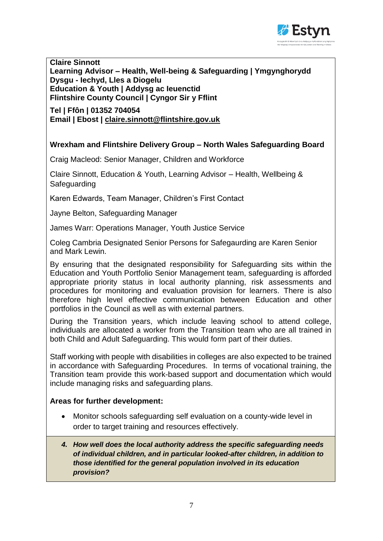

**Claire Sinnott Learning Advisor – Health, Well-being & Safeguarding | Ymgynghorydd Dysgu - Iechyd, Lles a Diogelu Education & Youth | Addysg ac Ieuenctid Flintshire County Council | Cyngor Sir y Fflint** 

**Tel | Ffôn | 01352 704054 Email | Ebost | [claire.sinnott@flintshire.gov.uk](mailto:claire.sinnott@flintshire.gov.uk)**

## **Wrexham and Flintshire Delivery Group – North Wales Safeguarding Board**

Craig Macleod: Senior Manager, Children and Workforce

Claire Sinnott, Education & Youth, Learning Advisor – Health, Wellbeing & Safeguarding

Karen Edwards, Team Manager, Children's First Contact

Jayne Belton, Safeguarding Manager

James Warr: Operations Manager, Youth Justice Service

Coleg Cambria Designated Senior Persons for Safegaurding are Karen Senior and Mark Lewin.

By ensuring that the designated responsibility for Safeguarding sits within the Education and Youth Portfolio Senior Management team, safeguarding is afforded appropriate priority status in local authority planning, risk assessments and procedures for monitoring and evaluation provision for learners. There is also therefore high level effective communication between Education and other portfolios in the Council as well as with external partners.

During the Transition years, which include leaving school to attend college, individuals are allocated a worker from the Transition team who are all trained in both Child and Adult Safeguarding. This would form part of their duties.

Staff working with people with disabilities in colleges are also expected to be trained in accordance with Safeguarding Procedures. In terms of vocational training, the Transition team provide this work-based support and documentation which would include managing risks and safeguarding plans.

### **Areas for further development:**

- Monitor schools safeguarding self evaluation on a county-wide level in order to target training and resources effectively.
- *4. How well does the local authority address the specific safeguarding needs of individual children, and in particular looked-after children, in addition to those identified for the general population involved in its education provision?*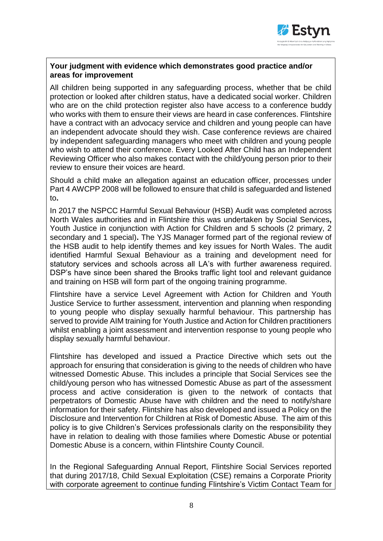

### **Your judgment with evidence which demonstrates good practice and/or areas for improvement**

All children being supported in any safeguarding process, whether that be child protection or looked after children status, have a dedicated social worker. Children who are on the child protection register also have access to a conference buddy who works with them to ensure their views are heard in case conferences. Flintshire have a contract with an advocacy service and children and young people can have an independent advocate should they wish. Case conference reviews are chaired by independent safeguarding managers who meet with children and young people who wish to attend their conference. Every Looked After Child has an Independent Reviewing Officer who also makes contact with the child/young person prior to their review to ensure their voices are heard.

Should a child make an allegation against an education officer, processes under Part 4 AWCPP 2008 will be followed to ensure that child is safeguarded and listened to**.** 

In 2017 the NSPCC Harmful Sexual Behaviour (HSB) Audit was completed across North Wales authorities and in Flintshire this was undertaken by Social Services**,**  Youth Justice in conjunction with Action for Children and 5 schools (2 primary, 2 secondary and 1 special)**.** The YJS Manager formed part of the regional review of the HSB audit to help identify themes and key issues for North Wales. The audit identified Harmful Sexual Behaviour as a training and development need for statutory services and schools across all LA's with further awareness required. DSP's have since been shared the Brooks traffic light tool and relevant guidance and training on HSB will form part of the ongoing training programme.

Flintshire have a service Level Agreement with Action for Children and Youth Justice Service to further assessment, intervention and planning when responding to young people who display sexually harmful behaviour. This partnership has served to provide AIM training for Youth Justice and Action for Children practitioners whilst enabling a joint assessment and intervention response to young people who display sexually harmful behaviour.

Flintshire has developed and issued a Practice Directive which sets out the approach for ensuring that consideration is giving to the needs of children who have witnessed Domestic Abuse. This includes a principle that Social Services see the child/young person who has witnessed Domestic Abuse as part of the assessment process and active consideration is given to the network of contacts that perpetrators of Domestic Abuse have with children and the need to notify/share information for their safety. Flintshire has also developed and issued a Policy on the Disclosure and Intervention for Children at Risk of Domestic Abuse. The aim of this policy is to give Children's Services professionals clarity on the responsibility they have in relation to dealing with those families where Domestic Abuse or potential Domestic Abuse is a concern, within Flintshire County Council.

In the Regional Safeguarding Annual Report, Flintshire Social Services reported that during 2017/18, Child Sexual Exploitation (CSE) remains a Corporate Priority with corporate agreement to continue funding Flintshire's Victim Contact Team for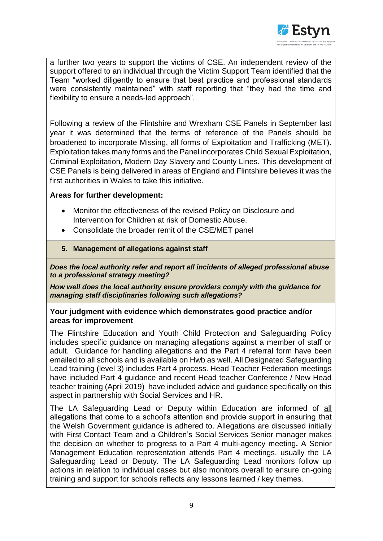

a further two years to support the victims of CSE. An independent review of the support offered to an individual through the Victim Support Team identified that the Team "worked diligently to ensure that best practice and professional standards were consistently maintained" with staff reporting that "they had the time and flexibility to ensure a needs-led approach".

Following a review of the Flintshire and Wrexham CSE Panels in September last year it was determined that the terms of reference of the Panels should be broadened to incorporate Missing, all forms of Exploitation and Trafficking (MET). Exploitation takes many forms and the Panel incorporates Child Sexual Exploitation, Criminal Exploitation, Modern Day Slavery and County Lines. This development of CSE Panels is being delivered in areas of England and Flintshire believes it was the first authorities in Wales to take this initiative.

### **Areas for further development:**

- Monitor the effectiveness of the revised Policy on Disclosure and Intervention for Children at risk of Domestic Abuse.
- Consolidate the broader remit of the CSE/MET panel

### **5. Management of allegations against staff**

*Does the local authority refer and report all incidents of alleged professional abuse to a professional strategy meeting?*

*How well does the local authority ensure providers comply with the guidance for managing staff disciplinaries following such allegations?* 

### **Your judgment with evidence which demonstrates good practice and/or areas for improvement**

The Flintshire Education and Youth Child Protection and Safeguarding Policy includes specific guidance on managing allegations against a member of staff or adult. Guidance for handling allegations and the Part 4 referral form have been emailed to all schools and is available on Hwb as well. All Designated Safeguarding Lead training (level 3) includes Part 4 process. Head Teacher Federation meetings have included Part 4 guidance and recent Head teacher Conference / New Head teacher training (April 2019) have included advice and guidance specifically on this aspect in partnership with Social Services and HR.

The LA Safeguarding Lead or Deputy within Education are informed of all allegations that come to a school's attention and provide support in ensuring that the Welsh Government guidance is adhered to. Allegations are discussed initially with First Contact Team and a Children's Social Services Senior manager makes the decision on whether to progress to a Part 4 multi-agency meeting**.** A Senior Management Education representation attends Part 4 meetings, usually the LA Safeguarding Lead or Deputy. The LA Safeguarding Lead monitors follow up actions in relation to individual cases but also monitors overall to ensure on-going training and support for schools reflects any lessons learned / key themes.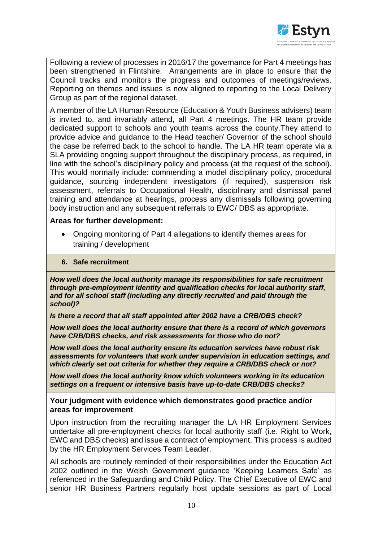

Following a review of processes in 2016/17 the governance for Part 4 meetings has been strengthened in Flintshire. Arrangements are in place to ensure that the Council tracks and monitors the progress and outcomes of meetings/reviews. Reporting on themes and issues is now aligned to reporting to the Local Delivery Group as part of the regional dataset.

A member of the LA Human Resource (Education & Youth Business advisers) team is invited to, and invariably attend, all Part 4 meetings. The HR team provide dedicated support to schools and youth teams across the county.They attend to provide advice and guidance to the Head teacher/ Governor of the school should the case be referred back to the school to handle. The LA HR team operate via a SLA providing ongoing support throughout the disciplinary process, as required, in line with the school's disciplinary policy and process (at the request of the school). This would normally include: commending a model disciplinary policy, procedural guidance, sourcing independent investigators (if required), suspension risk assessment, referrals to Occupational Health, disciplinary and dismissal panel training and attendance at hearings, process any dismissals following governing body instruction and any subsequent referrals to EWC/ DBS as appropriate.

### **Areas for further development:**

 Ongoing monitoring of Part 4 allegations to identify themes areas for training / development

#### **6. Safe recruitment**

*How well does the local authority manage its responsibilities for safe recruitment through pre-employment identity and qualification checks for local authority staff, and for all school staff (including any directly recruited and paid through the school)?* 

*Is there a record that all staff appointed after 2002 have a CRB/DBS check?* 

*How well does the local authority ensure that there is a record of which governors have CRB/DBS checks, and risk assessments for those who do not?* 

*How well does the local authority ensure its education services have robust risk assessments for volunteers that work under supervision in education settings, and which clearly set out criteria for whether they require a CRB/DBS check or not?*

*How well does the local authority know which volunteers working in its education settings on a frequent or intensive basis have up-to-date CRB/DBS checks?* 

### **Your judgment with evidence which demonstrates good practice and/or areas for improvement**

Upon instruction from the recruiting manager the LA HR Employment Services undertake all pre-employment checks for local authority staff (i.e. Right to Work, EWC and DBS checks) and issue a contract of employment. This process is audited by the HR Employment Services Team Leader.

All schools are routinely reminded of their responsibilities under the Education Act 2002 outlined in the Welsh Government guidance 'Keeping Learners Safe' as referenced in the Safeguarding and Child Policy. The Chief Executive of EWC and senior HR Business Partners regularly host update sessions as part of Local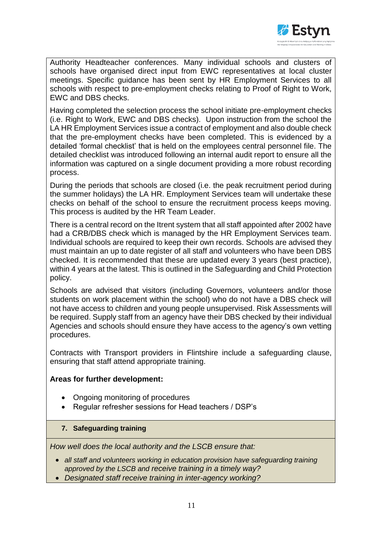

Authority Headteacher conferences. Many individual schools and clusters of schools have organised direct input from EWC representatives at local cluster meetings. Specific guidance has been sent by HR Employment Services to all schools with respect to pre-employment checks relating to Proof of Right to Work, EWC and DBS checks.

Having completed the selection process the school initiate pre-employment checks (i.e. Right to Work, EWC and DBS checks). Upon instruction from the school the LA HR Employment Services issue a contract of employment and also double check that the pre-employment checks have been completed. This is evidenced by a detailed 'formal checklist' that is held on the employees central personnel file. The detailed checklist was introduced following an internal audit report to ensure all the information was captured on a single document providing a more robust recording process.

During the periods that schools are closed (i.e. the peak recruitment period during the summer holidays) the LA HR. Employment Services team will undertake these checks on behalf of the school to ensure the recruitment process keeps moving. This process is audited by the HR Team Leader.

There is a central record on the Itrent system that all staff appointed after 2002 have had a CRB/DBS check which is managed by the HR Employment Services team. Individual schools are required to keep their own records. Schools are advised they must maintain an up to date register of all staff and volunteers who have been DBS checked. It is recommended that these are updated every 3 years (best practice), within 4 years at the latest. This is outlined in the Safeguarding and Child Protection policy.

Schools are advised that visitors (including Governors, volunteers and/or those students on work placement within the school) who do not have a DBS check will not have access to children and young people unsupervised. Risk Assessments will be required. Supply staff from an agency have their DBS checked by their individual Agencies and schools should ensure they have access to the agency's own vetting procedures.

Contracts with Transport providers in Flintshire include a safeguarding clause, ensuring that staff attend appropriate training.

### **Areas for further development:**

- Ongoing monitoring of procedures
- Regular refresher sessions for Head teachers / DSP's
- **7. Safeguarding training**

*How well does the local authority and the LSCB ensure that:* 

- *all staff and volunteers working in education provision have safeguarding training approved by the LSCB and receive training in a timely way?*
- *Designated staff receive training in inter-agency working?*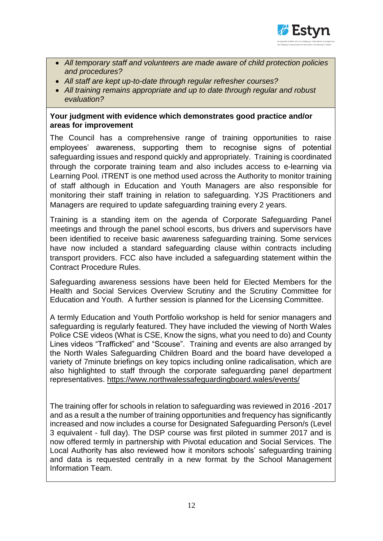

- *All temporary staff and volunteers are made aware of child protection policies and procedures?*
- *All staff are kept up-to-date through regular refresher courses?*
- *All training remains appropriate and up to date through regular and robust evaluation?*

### **Your judgment with evidence which demonstrates good practice and/or areas for improvement**

The Council has a comprehensive range of training opportunities to raise employees' awareness, supporting them to recognise signs of potential safeguarding issues and respond quickly and appropriately. Training is coordinated through the corporate training team and also includes access to e-learning via Learning Pool. iTRENT is one method used across the Authority to monitor training of staff although in Education and Youth Managers are also responsible for monitoring their staff training in relation to safeguarding. YJS Practitioners and Managers are required to update safeguarding training every 2 years.

Training is a standing item on the agenda of Corporate Safeguarding Panel meetings and through the panel school escorts, bus drivers and supervisors have been identified to receive basic awareness safeguarding training. Some services have now included a standard safeguarding clause within contracts including transport providers. FCC also have included a safeguarding statement within the Contract Procedure Rules.

Safeguarding awareness sessions have been held for Elected Members for the Health and Social Services Overview Scrutiny and the Scrutiny Committee for Education and Youth. A further session is planned for the Licensing Committee.

A termly Education and Youth Portfolio workshop is held for senior managers and safeguarding is regularly featured. They have included the viewing of North Wales Police CSE videos (What is CSE, Know the signs, what you need to do) and County Lines videos "Trafficked" and "Scouse". Training and events are also arranged by the North Wales Safeguarding Children Board and the board have developed a variety of 7minute briefings on key topics including online radicalisation, which are also highlighted to staff through the corporate safeguarding panel department representatives. <https://www.northwalessafeguardingboard.wales/events/>

The training offer for schools in relation to safeguarding was reviewed in 2016 -2017 and as a result a the number of training opportunities and frequency has significantly increased and now includes a course for Designated Safeguarding Person/s (Level 3 equivalent - full day). The DSP course was first piloted in summer 2017 and is now offered termly in partnership with Pivotal education and Social Services. The Local Authority has also reviewed how it monitors schools' safeguarding training and data is requested centrally in a new format by the School Management Information Team.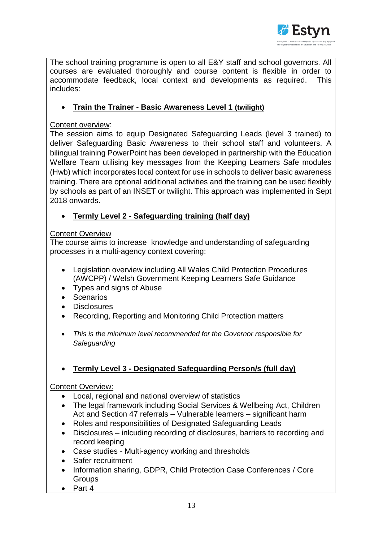

The school training programme is open to all E&Y staff and school governors. All courses are evaluated thoroughly and course content is flexible in order to accommodate feedback, local context and developments as required. This includes:

## **Train the Trainer - Basic Awareness Level 1 (twilight)**

### Content overview:

The session aims to equip Designated Safeguarding Leads (level 3 trained) to deliver Safeguarding Basic Awareness to their school staff and volunteers. A bilingual training PowerPoint has been developed in partnership with the Education Welfare Team utilising key messages from the Keeping Learners Safe modules (Hwb) which incorporates local context for use in schools to deliver basic awareness training. There are optional additional activities and the training can be used flexibly by schools as part of an INSET or twilight. This approach was implemented in Sept 2018 onwards.

## **Termly Level 2 - Safeguarding training (half day)**

## **Content Overview**

The course aims to increase knowledge and understanding of safeguarding processes in a multi-agency context covering:

- Legislation overview including All Wales Child Protection Procedures (AWCPP) / Welsh Government Keeping Learners Safe Guidance
- Types and signs of Abuse
- Scenarios
- **Disclosures**
- Recording, Reporting and Monitoring Child Protection matters
- *This is the minimum level recommended for the Governor responsible for Safeguarding*
- **Termly Level 3 - Designated Safeguarding Person/s (full day)**

## Content Overview:

- Local, regional and national overview of statistics
- The legal framework including Social Services & Wellbeing Act, Children Act and Section 47 referrals – Vulnerable learners – significant harm
- Roles and responsibilities of Designated Safeguarding Leads
- Disclosures inlcuding recording of disclosures, barriers to recording and record keeping
- Case studies Multi-agency working and thresholds
- Safer recruitment
- Information sharing, GDPR, Child Protection Case Conferences / Core **Groups**
- $\bullet$  Part 4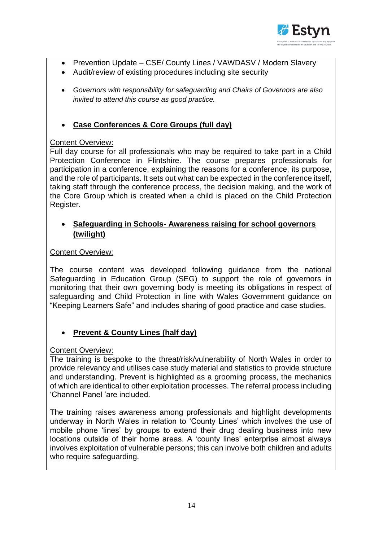

- Prevention Update CSE/ County Lines / VAWDASV / Modern Slavery
- Audit/review of existing procedures including site security
- *Governors with responsibility for safeguarding and Chairs of Governors are also invited to attend this course as good practice.*

## **Case Conferences & Core Groups (full day)**

## Content Overview:

Full day course for all professionals who may be required to take part in a Child Protection Conference in Flintshire. The course prepares professionals for participation in a conference, explaining the reasons for a conference, its purpose, and the role of participants. It sets out what can be expected in the conference itself, taking staff through the conference process, the decision making, and the work of the Core Group which is created when a child is placed on the Child Protection Register.

## **Safeguarding in Schools- Awareness raising for school governors (twilight)**

## Content Overview:

The course content was developed following guidance from the national Safeguarding in Education Group (SEG) to support the role of governors in monitoring that their own governing body is meeting its obligations in respect of safeguarding and Child Protection in line with Wales Government guidance on "Keeping Learners Safe" and includes sharing of good practice and case studies.

## **Prevent & County Lines (half day)**

## Content Overview:

The training is bespoke to the threat/risk/vulnerability of North Wales in order to provide relevancy and utilises case study material and statistics to provide structure and understanding. Prevent is highlighted as a grooming process, the mechanics of which are identical to other exploitation processes. The referral process including 'Channel Panel 'are included.

The training raises awareness among professionals and highlight developments underway in North Wales in relation to 'County Lines' which involves the use of mobile phone 'lines' by groups to extend their drug dealing business into new locations outside of their home areas. A 'county lines' enterprise almost always involves exploitation of vulnerable persons; this can involve both children and adults who require safeguarding.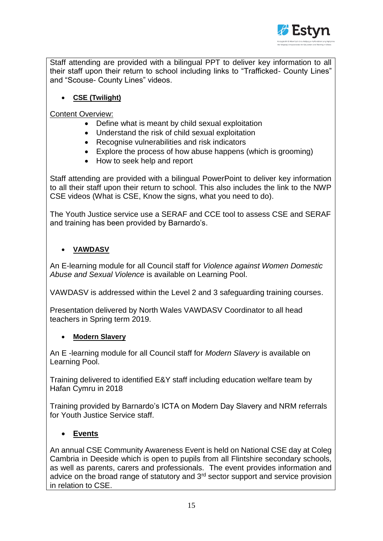

Staff attending are provided with a bilingual PPT to deliver key information to all their staff upon their return to school including links to "Trafficked- County Lines" and "Scouse- County Lines" videos.

**CSE (Twilight)**

Content Overview:

- Define what is meant by child sexual exploitation
- Understand the risk of child sexual exploitation
- Recognise vulnerabilities and risk indicators
- Explore the process of how abuse happens (which is grooming)
- How to seek help and report

Staff attending are provided with a bilingual PowerPoint to deliver key information to all their staff upon their return to school. This also includes the link to the NWP CSE videos (What is CSE, Know the signs, what you need to do).

The Youth Justice service use a SERAF and CCE tool to assess CSE and SERAF and training has been provided by Barnardo's.

## **VAWDASV**

An E-learning module for all Council staff for *Violence against Women Domestic Abuse and Sexual Violence* is available on Learning Pool.

VAWDASV is addressed within the Level 2 and 3 safeguarding training courses.

Presentation delivered by North Wales VAWDASV Coordinator to all head teachers in Spring term 2019.

## **Modern Slavery**

An E -learning module for all Council staff for *Modern Slavery* is available on Learning Pool.

Training delivered to identified E&Y staff including education welfare team by Hafan Cymru in 2018

Training provided by Barnardo's ICTA on Modern Day Slavery and NRM referrals for Youth Justice Service staff.

## **Events**

An annual CSE Community Awareness Event is held on National CSE day at Coleg Cambria in Deeside which is open to pupils from all Flintshire secondary schools, as well as parents, carers and professionals. The event provides information and advice on the broad range of statutory and 3<sup>rd</sup> sector support and service provision in relation to CSE.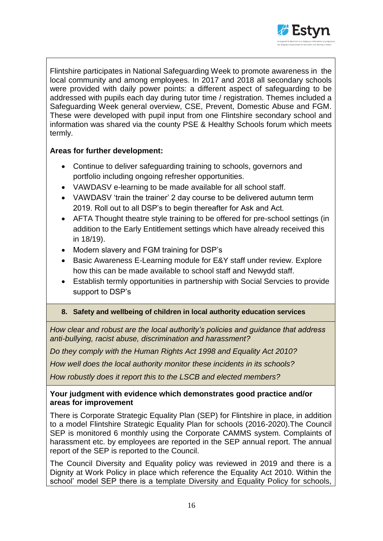

Flintshire participates in National Safeguarding Week to promote awareness in the local community and among employees. In 2017 and 2018 all secondary schools were provided with daily power points: a different aspect of safeguarding to be addressed with pupils each day during tutor time / registration. Themes included a Safeguarding Week general overview, CSE, Prevent, Domestic Abuse and FGM. These were developed with pupil input from one Flintshire secondary school and information was shared via the county PSE & Healthy Schools forum which meets termly.

## **Areas for further development:**

- Continue to deliver safeguarding training to schools, governors and portfolio including ongoing refresher opportunities.
- VAWDASV e-learning to be made available for all school staff.
- VAWDASV 'train the trainer' 2 day course to be delivered autumn term 2019. Roll out to all DSP's to begin thereafter for Ask and Act.
- AFTA Thought theatre style training to be offered for pre-school settings (in addition to the Early Entitlement settings which have already received this in 18/19).
- Modern slavery and FGM training for DSP's
- Basic Awareness E-Learning module for E&Y staff under review. Explore how this can be made available to school staff and Newydd staff.
- Establish termly opportunities in partnership with Social Servcies to provide support to DSP's

## **8. Safety and wellbeing of children in local authority education services**

*How clear and robust are the local authority's policies and guidance that address anti-bullying, racist abuse, discrimination and harassment?*

*Do they comply with the Human Rights Act 1998 and Equality Act 2010?*

*How well does the local authority monitor these incidents in its schools?*

*How robustly does it report this to the LSCB and elected members?*

### **Your judgment with evidence which demonstrates good practice and/or areas for improvement**

There is Corporate Strategic Equality Plan (SEP) for Flintshire in place, in addition to a model Flintshire Strategic Equality Plan for schools (2016-2020).The Council SEP is monitored 6 monthly using the Corporate CAMMS system. Complaints of harassment etc. by employees are reported in the SEP annual report. The annual report of the SEP is reported to the Council.

The Council Diversity and Equality policy was reviewed in 2019 and there is a Dignity at Work Policy in place which reference the Equality Act 2010. Within the school' model SEP there is a template Diversity and Equality Policy for schools,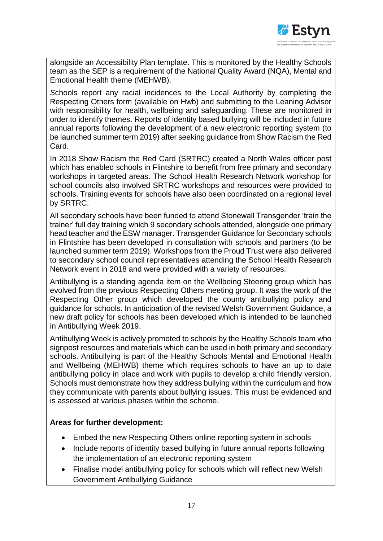

alongside an Accessibility Plan template. This is monitored by the Healthy Schools team as the SEP is a requirement of the National Quality Award (NQA), Mental and Emotional Health theme (MEHWB).

*S*chools report any racial incidences to the Local Authority by completing the Respecting Others form (available on Hwb) and submitting to the Leaning Advisor with responsibility for health, wellbeing and safeguarding. These are monitored in order to identify themes. Reports of identity based bullying will be included in future annual reports following the development of a new electronic reporting system (to be launched summer term 2019) after seeking guidance from Show Racism the Red Card.

In 2018 Show Racism the Red Card (SRTRC) created a North Wales officer post which has enabled schools in Flintshire to benefit from free primary and secondary workshops in targeted areas. The School Health Research Network workshop for school councils also involved SRTRC workshops and resources were provided to schools. Training events for schools have also been coordinated on a regional level by SRTRC.

All secondary schools have been funded to attend Stonewall Transgender 'train the trainer' full day training which 9 secondary schools attended, alongside one primary head teacher and the ESW manager. Transgender Guidance for Secondary schools in Flintshire has been developed in consultation with schools and partners (to be launched summer term 2019). Workshops from the Proud Trust were also delivered to secondary school council representatives attending the School Health Research Network event in 2018 and were provided with a variety of resources.

Antibullying is a standing agenda item on the Wellbeing Steering group which has evolved from the previous Respecting Others meeting group. It was the work of the Respecting Other group which developed the county antibullying policy and guidance for schools. In anticipation of the revised Welsh Government Guidance, a new draft policy for schools has been developed which is intended to be launched in Antibullying Week 2019.

Antibullying Week is actively promoted to schools by the Healthy Schools team who signpost resources and materials which can be used in both primary and secondary schools. Antibullying is part of the Healthy Schools Mental and Emotional Health and Wellbeing (MEHWB) theme which requires schools to have an up to date antibullying policy in place and work with pupils to develop a child friendly version. Schools must demonstrate how they address bullying within the curriculum and how they communicate with parents about bullying issues. This must be evidenced and is assessed at various phases within the scheme.

### **Areas for further development:**

- Embed the new Respecting Others online reporting system in schools
- Include reports of identity based bullying in future annual reports following the implementation of an electronic reporting system
- Finalise model antibullying policy for schools which will reflect new Welsh Government Antibullying Guidance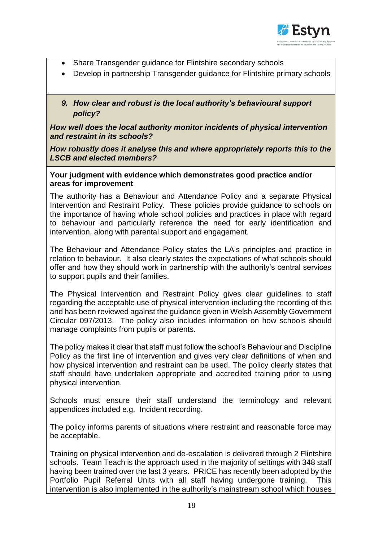

- Share Transgender guidance for Flintshire secondary schools
- Develop in partnership Transgender guidance for Flintshire primary schools
- *9. How clear and robust is the local authority's behavioural support policy?*

*How well does the local authority monitor incidents of physical intervention and restraint in its schools?* 

*How robustly does it analyse this and where appropriately reports this to the LSCB and elected members?*

**Your judgment with evidence which demonstrates good practice and/or areas for improvement** 

The authority has a Behaviour and Attendance Policy and a separate Physical Intervention and Restraint Policy. These policies provide guidance to schools on the importance of having whole school policies and practices in place with regard to behaviour and particularly reference the need for early identification and intervention, along with parental support and engagement.

The Behaviour and Attendance Policy states the LA's principles and practice in relation to behaviour. It also clearly states the expectations of what schools should offer and how they should work in partnership with the authority's central services to support pupils and their families.

The Physical Intervention and Restraint Policy gives clear guidelines to staff regarding the acceptable use of physical intervention including the recording of this and has been reviewed against the guidance given in Welsh Assembly Government Circular 097/2013. The policy also includes information on how schools should manage complaints from pupils or parents.

The policy makes it clear that staff must follow the school's Behaviour and Discipline Policy as the first line of intervention and gives very clear definitions of when and how physical intervention and restraint can be used. The policy clearly states that staff should have undertaken appropriate and accredited training prior to using physical intervention.

Schools must ensure their staff understand the terminology and relevant appendices included e.g. Incident recording.

The policy informs parents of situations where restraint and reasonable force may be acceptable.

Training on physical intervention and de-escalation is delivered through 2 Flintshire schools. Team Teach is the approach used in the majority of settings with 348 staff having been trained over the last 3 years. PRICE has recently been adopted by the Portfolio Pupil Referral Units with all staff having undergone training. This intervention is also implemented in the authority's mainstream school which houses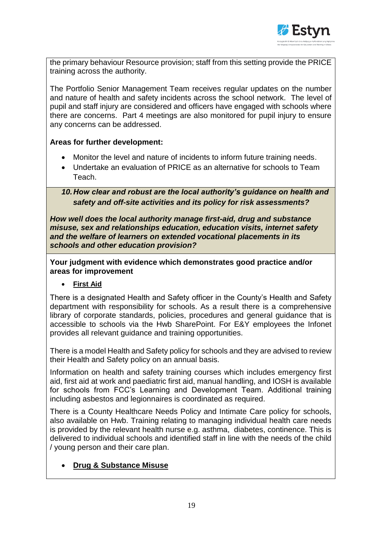

the primary behaviour Resource provision; staff from this setting provide the PRICE training across the authority.

The Portfolio Senior Management Team receives regular updates on the number and nature of health and safety incidents across the school network. The level of pupil and staff injury are considered and officers have engaged with schools where there are concerns. Part 4 meetings are also monitored for pupil injury to ensure any concerns can be addressed.

### **Areas for further development:**

- Monitor the level and nature of incidents to inform future training needs.
- Undertake an evaluation of PRICE as an alternative for schools to Team Teach.

*10.How clear and robust are the local authority's guidance on health and safety and off-site activities and its policy for risk assessments?* 

*How well does the local authority manage first-aid, drug and substance misuse, sex and relationships education, education visits, internet safety and the welfare of learners on extended vocational placements in its schools and other education provision?*

**Your judgment with evidence which demonstrates good practice and/or areas for improvement** 

**First Aid**

There is a designated Health and Safety officer in the County's Health and Safety department with responsibility for schools. As a result there is a comprehensive library of corporate standards, policies, procedures and general guidance that is accessible to schools via the Hwb SharePoint. For E&Y employees the Infonet provides all relevant guidance and training opportunities.

There is a model Health and Safety policy for schools and they are advised to review their Health and Safety policy on an annual basis.

Information on health and safety training courses which includes emergency first aid, first aid at work and paediatric first aid, manual handling, and IOSH is available for schools from FCC's Learning and Development Team. Additional training including asbestos and legionnaires is coordinated as required.

There is a County Healthcare Needs Policy and Intimate Care policy for schools, also available on Hwb. Training relating to managing individual health care needs is provided by the relevant health nurse e.g. asthma, diabetes, continence. This is delivered to individual schools and identified staff in line with the needs of the child / young person and their care plan.

## **Drug & Substance Misuse**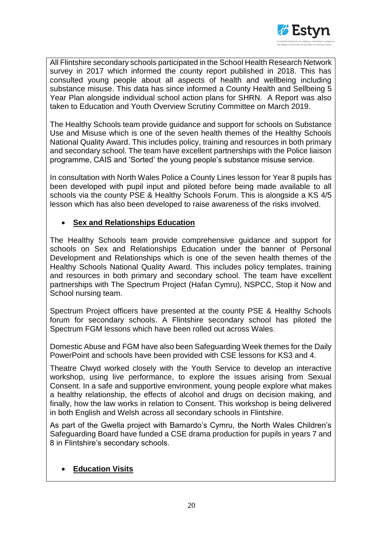

All Flintshire secondary schools participated in the School Health Research Network survey in 2017 which informed the county report published in 2018. This has consulted young people about all aspects of health and wellbeing including substance misuse. This data has since informed a County Health and Sellbeing 5 Year Plan alongside individual school action plans for SHRN. A Report was also taken to Education and Youth Overview Scrutiny Committee on March 2019.

The Healthy Schools team provide guidance and support for schools on Substance Use and Misuse which is one of the seven health themes of the Healthy Schools National Quality Award. This includes policy, training and resources in both primary and secondary school. The team have excellent partnerships with the Police liaison programme, CAIS and 'Sorted' the young people's substance misuse service.

In consultation with North Wales Police a County Lines lesson for Year 8 pupils has been developed with pupil input and piloted before being made available to all schools via the county PSE & Healthy Schools Forum. This is alongside a KS 4/5 lesson which has also been developed to raise awareness of the risks involved.

## **Sex and Relationships Education**

The Healthy Schools team provide comprehensive guidance and support for schools on Sex and Relationships Education under the banner of Personal Development and Relationships which is one of the seven health themes of the Healthy Schools National Quality Award. This includes policy templates, training and resources in both primary and secondary school. The team have excellent partnerships with The Spectrum Project (Hafan Cymru), NSPCC, Stop it Now and School nursing team.

Spectrum Project officers have presented at the county PSE & Healthy Schools forum for secondary schools. A Flintshire secondary school has piloted the Spectrum FGM lessons which have been rolled out across Wales.

Domestic Abuse and FGM have also been Safeguarding Week themes for the Daily PowerPoint and schools have been provided with CSE lessons for KS3 and 4.

Theatre Clwyd worked closely with the Youth Service to develop an interactive workshop, using live performance, to explore the issues arising from Sexual Consent. In a safe and supportive environment, young people explore what makes a healthy relationship, the effects of alcohol and drugs on decision making, and finally, how the law works in relation to Consent. This workshop is being delivered in both English and Welsh across all secondary schools in Flintshire.

As part of the Gwella project with Barnardo's Cymru, the North Wales Children's Safeguarding Board have funded a CSE drama production for pupils in years 7 and 8 in Flintshire's secondary schools.

## **Education Visits**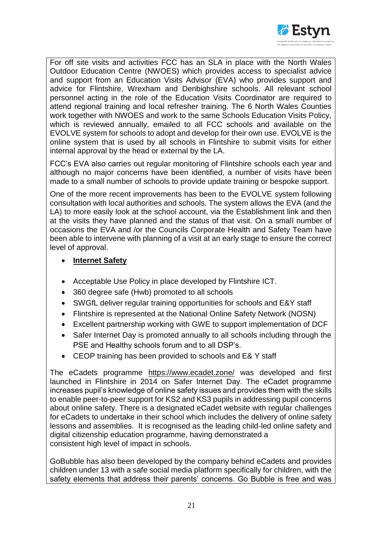

For off site visits and activities FCC has an SLA in place with the North Wales Outdoor Education Centre (NWOES) which provides access to specialist advice and support from an Education Visits Advisor (EVA) who provides support and advice for Flintshire, Wrexham and Denbighshire schools. All relevant school personnel acting in the role of the Education Visits Coordinator are required to attend regional training and local refresher training. The 6 North Wales Counties work together with NWOES and work to the same Schools Education Visits Policy, which is reviewed annually, emailed to all FCC schools and available on the EVOLVE system for schools to adopt and develop for their own use. EVOLVE is the online system that is used by all schools in Flintshire to submit visits for either internal approval by the head or external by the LA.

FCC's EVA also carries out regular monitoring of Flintshire schools each year and although no major concerns have been identified, a number of visits have been made to a small number of schools to provide update training or bespoke support.

One of the more recent improvements has been to the EVOLVE system following consultation with local authorities and schools. The system allows the EVA (and the LA) to more easily look at the school account, via the Establishment link and then at the visits they have planned and the status of that visit. On a small number of occasions the EVA and /or the Councils Corporate Health and Safety Team have been able to intervene with planning of a visit at an early stage to ensure the correct level of approval.

### **Internet Safety**

- Acceptable Use Policy in place developed by Flintshire ICT.
- 360 degree safe (Hwb) promoted to all schools
- SWGfL deliver regular training opportunities for schools and E&Y staff
- Flintshire is represented at the National Online Safety Network (NOSN)
- Excellent partnership working with GWE to support implementation of DCF
- Safer Internet Day is promoted annually to all schools including through the PSE and Healthy schools forum and to all DSP's.
- CEOP training has been provided to schools and E& Y staff

The eCadets programme <https://www.ecadet.zone/> was developed and first launched in Flintshire in 2014 on Safer Internet Day. The eCadet programme increases pupil's knowledge of online safety issues and provides them with the skills to enable peer-to-peer support for KS2 and KS3 pupils in addressing pupil concerns about online safety. There is a designated eCadet website with regular challenges for eCadets to undertake in their school which includes the delivery of online safety lessons and assemblies. It is recognised as the leading child-led online safety and digital citizenship education programme, having demonstrated a consistent high level of impact in schools.

GoBubble has also been developed by the company behind eCadets and provides children under 13 with a safe social media platform specifically for children, with the safety elements that address their parents' concerns. Go Bubble is free and was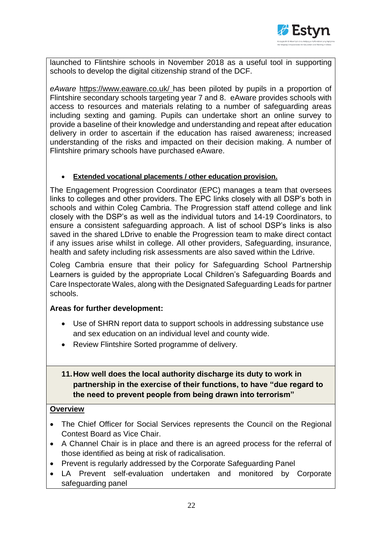

launched to Flintshire schools in November 2018 as a useful tool in supporting schools to develop the digital citizenship strand of the DCF.

*eAware* <https://www.eaware.co.uk/> has been piloted by pupils in a proportion of Flintshire secondary schools targeting year 7 and 8. eAware provides schools with access to resources and materials relating to a number of safeguarding areas including sexting and gaming. Pupils can undertake short an online survey to provide a baseline of their knowledge and understanding and repeat after education delivery in order to ascertain if the education has raised awareness; increased understanding of the risks and impacted on their decision making. A number of Flintshire primary schools have purchased eAware.

### **Extended vocational placements / other education provision.**

The Engagement Progression Coordinator (EPC) manages a team that oversees links to colleges and other providers. The EPC links closely with all DSP's both in schools and within Coleg Cambria. The Progression staff attend college and link closely with the DSP's as well as the individual tutors and 14-19 Coordinators, to ensure a consistent safeguarding approach. A list of school DSP's links is also saved in the shared LDrive to enable the Progression team to make direct contact if any issues arise whilst in college. All other providers, Safeguarding, insurance, health and safety including risk assessments are also saved within the Ldrive.

Coleg Cambria ensure that their policy for Safeguarding School Partnership Learners is guided by the appropriate Local Children's Safeguarding Boards and Care Inspectorate Wales, along with the Designated Safeguarding Leads for partner schools.

### **Areas for further development:**

- Use of SHRN report data to support schools in addressing substance use and sex education on an individual level and county wide.
- Review Flintshire Sorted programme of delivery.

## **11.How well does the local authority discharge its duty to work in partnership in the exercise of their functions, to have "due regard to the need to prevent people from being drawn into terrorism"**

### **Overview**

- The Chief Officer for Social Services represents the Council on the Regional Contest Board as Vice Chair.
- A Channel Chair is in place and there is an agreed process for the referral of those identified as being at risk of radicalisation.
- Prevent is regularly addressed by the Corporate Safeguarding Panel
- LA Prevent self-evaluation undertaken and monitored by Corporate safeguarding panel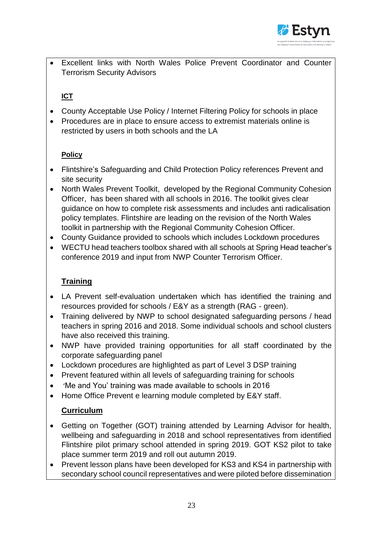

 Excellent links with North Wales Police Prevent Coordinator and Counter Terrorism Security Advisors

# **ICT**

- County Acceptable Use Policy / Internet Filtering Policy for schools in place
- Procedures are in place to ensure access to extremist materials online is restricted by users in both schools and the LA

# **Policy**

- Flintshire's Safeguarding and Child Protection Policy references Prevent and site security
- North Wales Prevent Toolkit, developed by the Regional Community Cohesion Officer, has been shared with all schools in 2016. The toolkit gives clear guidance on how to complete risk assessments and includes anti radicalisation policy templates. Flintshire are leading on the revision of the North Wales toolkit in partnership with the Regional Community Cohesion Officer.
- County Guidance provided to schools which includes Lockdown procedures
- WECTU head teachers toolbox shared with all schools at Spring Head teacher's conference 2019 and input from NWP Counter Terrorism Officer.

# **Training**

- LA Prevent self-evaluation undertaken which has identified the training and resources provided for schools / E&Y as a strength (RAG - green).
- Training delivered by NWP to school designated safeguarding persons / head teachers in spring 2016 and 2018. Some individual schools and school clusters have also received this training.
- NWP have provided training opportunities for all staff coordinated by the corporate safeguarding panel
- Lockdown procedures are highlighted as part of Level 3 DSP training
- Prevent featured within all levels of safeguarding training for schools
- 'Me and You' training was made available to schools in 2016
- Home Office Prevent e learning module completed by E&Y staff.

# **Curriculum**

- Getting on Together (GOT) training attended by Learning Advisor for health, wellbeing and safeguarding in 2018 and school representatives from identified Flintshire pilot primary school attended in spring 2019. GOT KS2 pilot to take place summer term 2019 and roll out autumn 2019.
- Prevent lesson plans have been developed for KS3 and KS4 in partnership with secondary school council representatives and were piloted before dissemination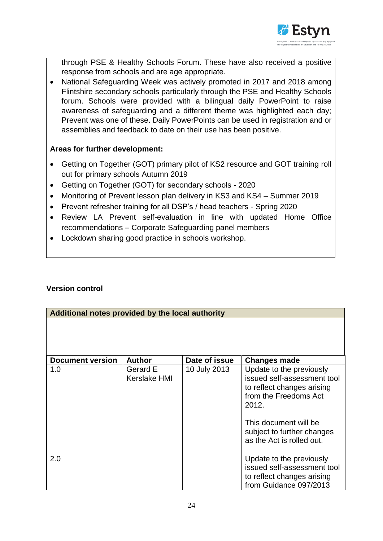

through PSE & Healthy Schools Forum. These have also received a positive response from schools and are age appropriate.

• National Safeguarding Week was actively promoted in 2017 and 2018 among Flintshire secondary schools particularly through the PSE and Healthy Schools forum. Schools were provided with a bilingual daily PowerPoint to raise awareness of safeguarding and a different theme was highlighted each day; Prevent was one of these. Daily PowerPoints can be used in registration and or assemblies and feedback to date on their use has been positive.

## **Areas for further development:**

- Getting on Together (GOT) primary pilot of KS2 resource and GOT training roll out for primary schools Autumn 2019
- Getting on Together (GOT) for secondary schools 2020
- Monitoring of Prevent lesson plan delivery in KS3 and KS4 Summer 2019
- Prevent refresher training for all DSP's / head teachers Spring 2020
- Review LA Prevent self-evaluation in line with updated Home Office recommendations – Corporate Safeguarding panel members
- Lockdown sharing good practice in schools workshop.

## **Version control**

| Additional notes provided by the local authority |                          |               |                                                                                                                                                                                                             |  |
|--------------------------------------------------|--------------------------|---------------|-------------------------------------------------------------------------------------------------------------------------------------------------------------------------------------------------------------|--|
|                                                  |                          |               |                                                                                                                                                                                                             |  |
| <b>Document version</b>                          | <b>Author</b>            | Date of issue | <b>Changes made</b>                                                                                                                                                                                         |  |
| 1.0                                              | Gerard E<br>Kerslake HMI | 10 July 2013  | Update to the previously<br>issued self-assessment tool<br>to reflect changes arising<br>from the Freedoms Act<br>2012.<br>This document will be<br>subject to further changes<br>as the Act is rolled out. |  |
| 2.0                                              |                          |               | Update to the previously<br>issued self-assessment tool<br>to reflect changes arising<br>from Guidance 097/2013                                                                                             |  |